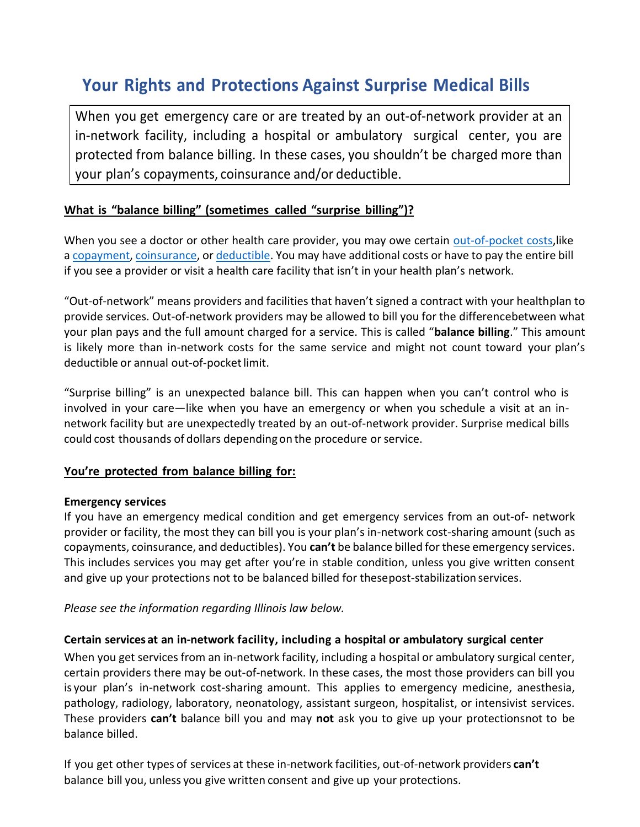# **Your Rights and Protections Against Surprise Medical Bills**

When you get emergency care or are treated by an out-of-network provider at an in-network facility, including a hospital or ambulatory surgical center, you are protected from balance billing. In these cases, you shouldn't be charged more than your plan's copayments, coinsurance and/or deductible.

#### **What is "balance billing" (sometimes called "surprise billing")?**

When you see a doctor or other health care provider, you may owe certain [out-of-pocket costs,](https://www.healthcare.gov/glossary/out-of-pocket-costs/) like [a copayment,](https://www.healthcare.gov/glossary/co-payment/) [coinsurance,](https://www.healthcare.gov/glossary/co-insurance/) o[r deductible.](https://www.healthcare.gov/glossary/deductible/) You may have additional costs or have to pay the entire bill if you see a provider or visit a health care facility that isn't in your health plan's network.

"Out-of-network" means providers and facilities that haven't signed a contract with your healthplan to provide services. Out-of-network providers may be allowed to bill you for the differencebetween what your plan pays and the full amount charged for a service. This is called "**balance billing**." This amount is likely more than in-network costs for the same service and might not count toward your plan's deductible or annual out-of-pocket limit.

"Surprise billing" is an unexpected balance bill. This can happen when you can't control who is involved in your care—like when you have an emergency or when you schedule a visit at an innetwork facility but are unexpectedly treated by an out-of-network provider. Surprise medical bills could cost thousands of dollars depending on the procedure or service.

### **You're protected from balance billing for:**

#### **Emergency services**

If you have an emergency medical condition and get emergency services from an out-of- network provider or facility, the most they can bill you is your plan's in-network cost-sharing amount (such as copayments, coinsurance, and deductibles). You **can't** be balance billed for these emergency services. This includes services you may get after you're in stable condition, unless you give written consent and give up your protections not to be balanced billed for thesepost-stabilization services.

*Please see the information regarding Illinois law below.*

#### **Certain services at an in-network facility, including a hospital or ambulatory surgical center**

When you get services from an in-network facility, including a hospital or ambulatory surgical center, certain providers there may be out-of-network. In these cases, the most those providers can bill you is your plan's in-network cost-sharing amount. This applies to emergency medicine, anesthesia, pathology, radiology, laboratory, neonatology, assistant surgeon, hospitalist, or intensivist services. These providers **can't** balance bill you and may **not** ask you to give up your protectionsnot to be balance billed.

If you get other types of services at these in-network facilities, out-of-network providers **can't** balance bill you, unless you give written consent and give up your protections.